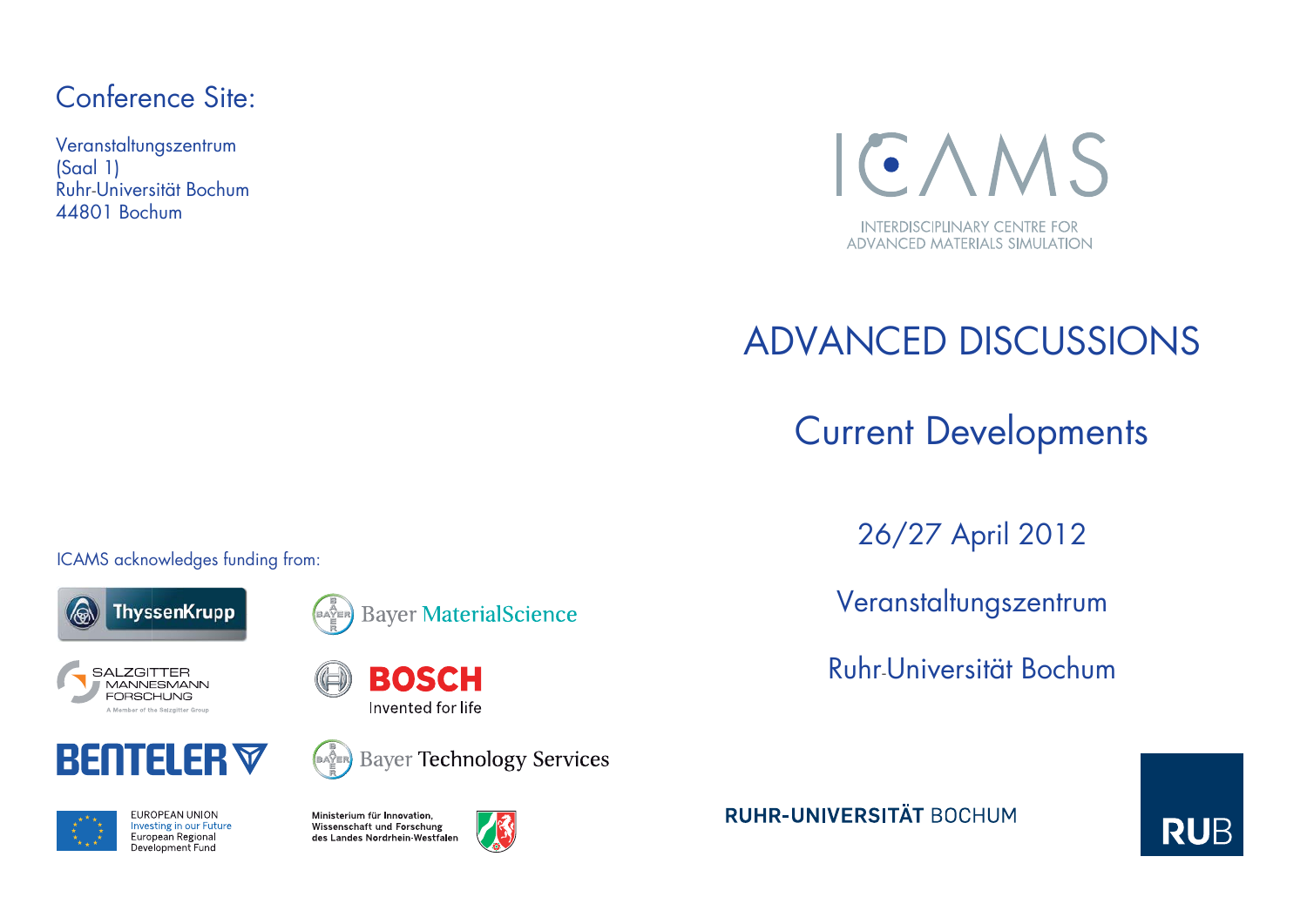# Conference Site:

Veranstaltungszentrum (Saal 1) Ruhr-Universität Bochum 44801 Bochum



# ADVANCED DISCUSSIONS

Current Developments

26/27 April 2012

Veranstaltungszentrum

Ruhr-Universität Bochum



ICAMS acknowledges funding from:





**BOSCH** 

Invented for life

**SALZGITTER MANNESMANN FORSCHUNG** A Member of the Salzgitter Group





Ministerium für Innovation, Wissenschaft und Forschung des Landes Nordrhein Westfalen

BAYER<br>E



**Bayer Technology Services** 

**RUHR-UNIVERSITÄT BOCHUM**